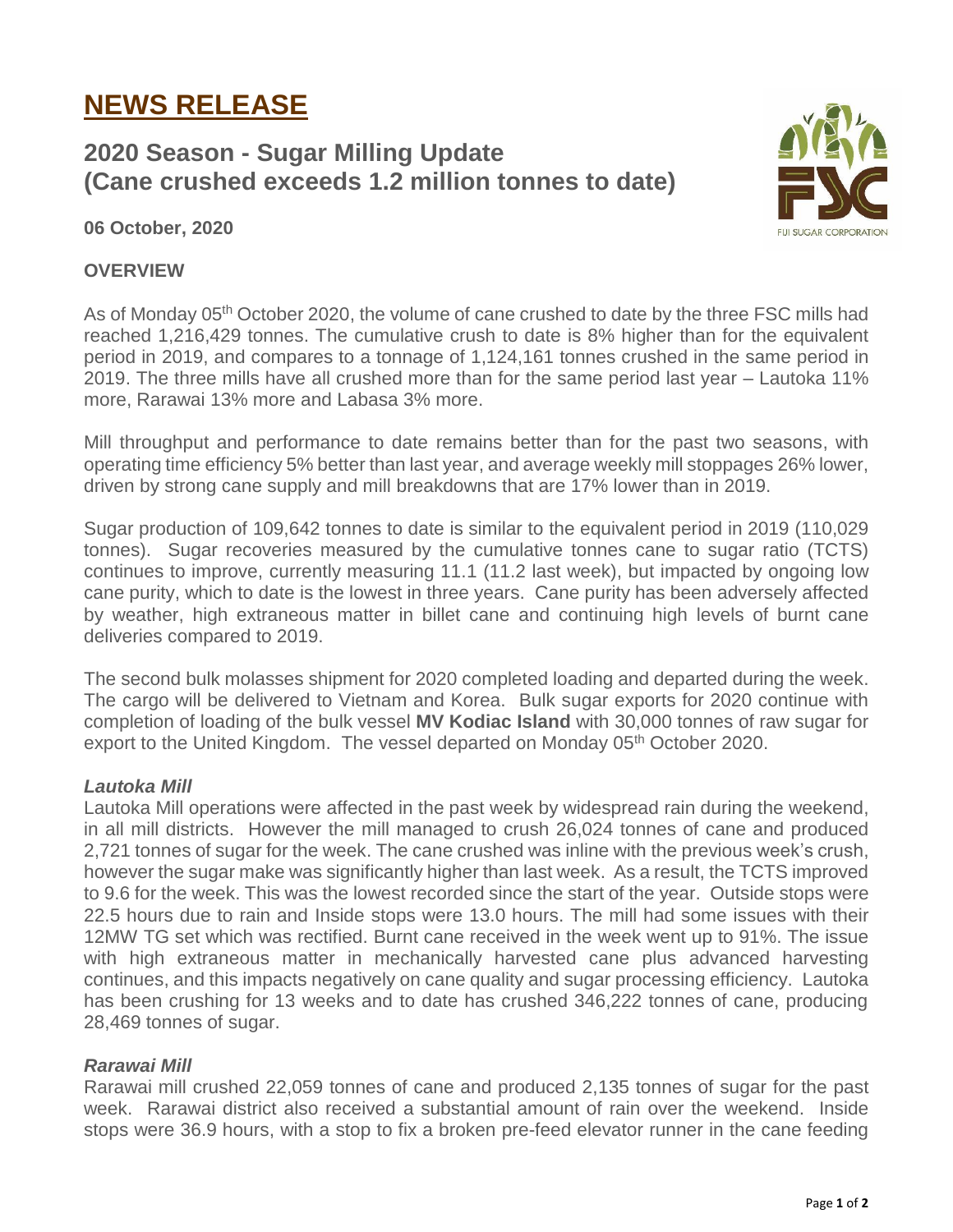# **NEWS RELEASE**

## **2020 Season - Sugar Milling Update (Cane crushed exceeds 1.2 million tonnes to date)**



**06 October, 2020**

#### **OVERVIEW**

As of Monday 05<sup>th</sup> October 2020, the volume of cane crushed to date by the three FSC mills had reached 1,216,429 tonnes. The cumulative crush to date is 8% higher than for the equivalent period in 2019, and compares to a tonnage of 1,124,161 tonnes crushed in the same period in 2019. The three mills have all crushed more than for the same period last year – Lautoka 11% more, Rarawai 13% more and Labasa 3% more.

Mill throughput and performance to date remains better than for the past two seasons, with operating time efficiency 5% better than last year, and average weekly mill stoppages 26% lower, driven by strong cane supply and mill breakdowns that are 17% lower than in 2019.

Sugar production of 109,642 tonnes to date is similar to the equivalent period in 2019 (110,029 tonnes). Sugar recoveries measured by the cumulative tonnes cane to sugar ratio (TCTS) continues to improve, currently measuring 11.1 (11.2 last week), but impacted by ongoing low cane purity, which to date is the lowest in three years. Cane purity has been adversely affected by weather, high extraneous matter in billet cane and continuing high levels of burnt cane deliveries compared to 2019.

The second bulk molasses shipment for 2020 completed loading and departed during the week. The cargo will be delivered to Vietnam and Korea. Bulk sugar exports for 2020 continue with completion of loading of the bulk vessel **MV Kodiac Island** with 30,000 tonnes of raw sugar for export to the United Kingdom. The vessel departed on Monday 05<sup>th</sup> October 2020.

### *Lautoka Mill*

Lautoka Mill operations were affected in the past week by widespread rain during the weekend, in all mill districts. However the mill managed to crush 26,024 tonnes of cane and produced 2,721 tonnes of sugar for the week. The cane crushed was inline with the previous week's crush, however the sugar make was significantly higher than last week. As a result, the TCTS improved to 9.6 for the week. This was the lowest recorded since the start of the year. Outside stops were 22.5 hours due to rain and Inside stops were 13.0 hours. The mill had some issues with their 12MW TG set which was rectified. Burnt cane received in the week went up to 91%. The issue with high extraneous matter in mechanically harvested cane plus advanced harvesting continues, and this impacts negatively on cane quality and sugar processing efficiency. Lautoka has been crushing for 13 weeks and to date has crushed 346,222 tonnes of cane, producing 28,469 tonnes of sugar.

#### *Rarawai Mill*

Rarawai mill crushed 22,059 tonnes of cane and produced 2,135 tonnes of sugar for the past week. Rarawai district also received a substantial amount of rain over the weekend. Inside stops were 36.9 hours, with a stop to fix a broken pre-feed elevator runner in the cane feeding